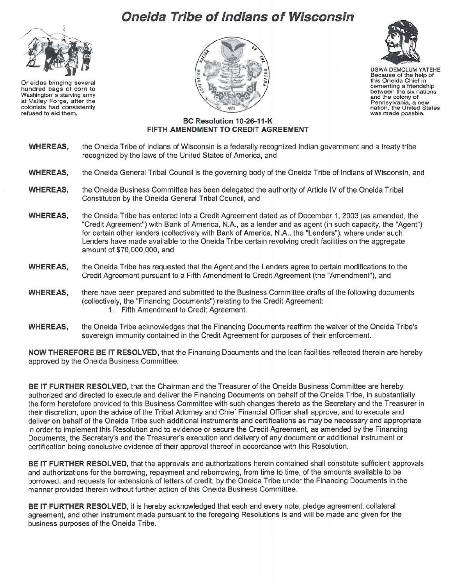## **Oneida Tribe of Indians of Wisconsin**



Oneidas bringing several hundred bags of corn to Washington' s starving army at Valley Forge, after the colonists had consistently refused to aid them.





UGWA DEMOLUM YATEHE Because of the help of this Oneida Chief in cementing a friendship between the six nations and the colony of Pennsylvania, a new nation, the United States was made possble.

## **BC Resolution 10-26-11-K FIFTH AMENDMENT TO CREDIT AGREEMENT**

- **WHEREAS,** the Oneida Tribe of Indians of Wisconsin is a federally recognized Indian government and a treaty tribe recognized by the laws of the United States of America, and
- **WHEREAS,** the Oneida General Tribal Council is the governing body of the Oneida Tribe of Indians of Wisconsin, and
- **WHEREAS,** the Oneida Business Committee has been delegated the authority of Article IV of the Oneida Tribal Constitution by the Oneida General Tribal Council, and
- **WHEREAS,** the Oneida Tribe has entered into a Credit Agreement dated as of December 1, 2003 (as amended, the "Credit Agreement") with Bank of America, N.A., as a lender and as agent (in such capacity, the "Agent") for certain other lenders (collectively with Bank of America, N.A., the "Lenders"), where under such Lenders have made available to the Oneida Tribe certain revolving credit facilities on the aggregate amount of \$70,000,000, and
- **WHEREAS,** the Oneida Tribe has requested that the Agent and the Lenders agree to certain modifications to the Credit Agreement pursuant to a Fifth Amendment to Credit Agreement (the "Amendment"), andl
- WHEREAS, there have been prepared and submitted to the Business Committee drafts of the following documents (collectively, the "Financing Documents") relating to the Credit Agreement: 1. Fifth Amendment to Credit Agreement.
- **WHEREAS,** the Oneida Tribe acknowledges that the Financing Documents reaffirm the waiver of the Oneida Tribe's sovereign immunity contained in the Credit Agreement for purposes of their enforcement.

**NOW THEREFORE BE IT RESOLVED,** that the Financing Documents and the loan facilities reflected therein are hereby approved by the Oneida Business Committee.

**BE IT FURTHER RESOLVED,** that the Chairman and the Treasurer of the Oneida Business Committee are hereby authorized and directed to execute and deliver the Financing Documents on behalf of the Oneida Tribe, in substantially the form heretofore provided to this Business Committee with such changes thereto as the Secretary and the Treasurer in their discretion, upon the advice of the Tribal Attorney and Chief Financial Officer shall approve, and to execute and deliver on behalf of the Oneida Tribe such additional instruments and certifications as may be necessary and appropriate in order to implement this Resolution and to evidence or secure the Credit Agreement, as amended by the Financing Documents, the Secretary's and the Treasurer's execution and delivery of any document or additional instrument or certification being conclusive evidence of their approval thereof in accordance with this Resolution.

**BE IT FURTHER RESOLVED,** that the approvals and authorizations herein contained shall constitute sufficient approvals and authorizations for the borrowing, repayment and reborrowing, from time to time, of the amounts available to be borrowed, and requests for extensions of letters of credit, by the Oneida Tribe under the Financing Documents in the manner provided therein without further action of this Oneida Business Committee.

**BE IT FURTHER RESOLVED,** it is hereby acknowledged that each and every note, pledge agreement, collateral agreement, and other instrument made pursuant to the foregoing Resolutions is and will be made and given for the business purposes of the Oneida Tribe.